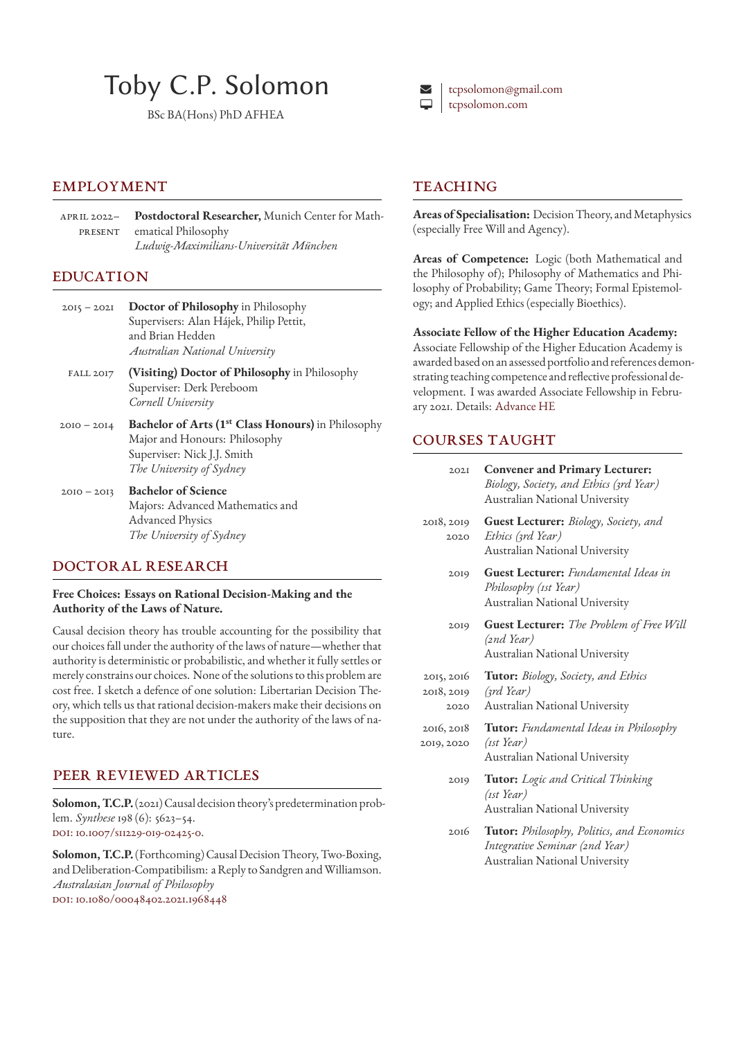# Toby C.P. Solomon

BSc BA(Hons) PhD AFHEA

#### **EMPLOYMENT**

April 2022– **Postdoctoral Researcher,** Munich Center for Math-PRESENT ematical Philosophy *Ludwig-Maximilians-Universität München*

#### **EDUCATION**

- 2015 2021 **Doctor of Philosophy** in Philosophy Supervisers: Alan Hájek, Philip Pettit, and Brian Hedden *Australian National University*
- Fall 2017 **(Visiting) Doctor of Philosophy** in Philosophy Superviser: Derk Pereboom *Cornell University*
- 2010 2014 **Bachelor of Arts (1st Class Honours)** in Philosophy Major and Honours: Philosophy Superviser: Nick J.J. Smith *The University of Sydney*
- 2010 2013 **Bachelor of Science** Majors: Advanced Mathematics and Advanced Physics *The University of Sydney*

#### Doctoral Research

#### **Free Choices: Essays on Rational Decision-Making and the Authority of the Laws of Nature.**

Causal decision theory has trouble accounting for the possibility that our choices fall under the authority of the laws of nature—whether that authority is deterministic or probabilistic, and whether it fully settles or merely constrains our choices. None of the solutions to this problem are cost free. I sketch a defence of one solution: Libertarian Decision Theory, which tells us that rational decision-makers make their decisions on the supposition that they are not under the authority of the laws of nature.

#### Peer Reviewed Articles

**Solomon, T.C.P.**(2021) Causal decision theory's predetermination problem. *Synthese* 198 (6): 5623–54. DOI: 10.1007/s11229-019-02425-0.

**Solomon, T.C.P.**(Forthcoming) Causal Decision Theory, Two-Boxing, and Deliberation-Compatibilism: a Reply to Sandgren and Williamson. *Australasian Journal of Philosophy* DOI: [10.1080/00048402.2021.196](http://doi.org/10.1007/s11229-019-02425-0)8448



#### **TEACHING**

**Areas of Specialisation:** Decision Theory, and Metaphysics (especially Free Will and Agency).

**Areas of Competence:** Logic (both Mathematical and the Philosophy of); Philosophy of Mathematics and Philosophy of Probability; Game Theory; Formal Epistemology; and Applied Ethics (especially Bioethics).

**Associate Fellow of the Higher Education Academy:** Associate Fellowship of the Higher Education Academy is awarded based on an assessed portfolio and references demonstrating teaching competence and reflective professional development. I was awarded Associate Fellowship in February 2021. Details: Advance HE

#### Courses Taught

| 202I                             | <b>Convener and Primary Lecturer:</b><br>Biology, Society, and Ethics (3rd Year)<br>Australian National University |
|----------------------------------|--------------------------------------------------------------------------------------------------------------------|
| 2018, 2019<br>2020               | <b>Guest Lecturer:</b> Biology, Society, and<br>Ethics (3rd Year)<br>Australian National University                |
| 2019                             | <b>Guest Lecturer:</b> Fundamental Ideas in<br>Philosophy (1st Year)<br>Australian National University             |
| 2019                             | <b>Guest Lecturer:</b> The Problem of Free Will<br>(2nd Year)<br>Australian National University                    |
| 2015, 2016<br>2018, 2019<br>2020 | <b>Tutor:</b> Biology, Society, and Ethics<br>$(\gamma r d \text{Year})$<br>Australian National University         |
|                                  |                                                                                                                    |

- 2016, 2018 **Tutor:** *Fundamental Ideas in Philosophy* 2019, 2020 *(1st Year)* Australian National University
	- 2019 **Tutor:** *Logic and Critical Thinking (1st Year)* Australian National University
	- 2016 **Tutor:** *Philosophy, Politics, and Economics Integrative Seminar (2nd Year)* Australian National University